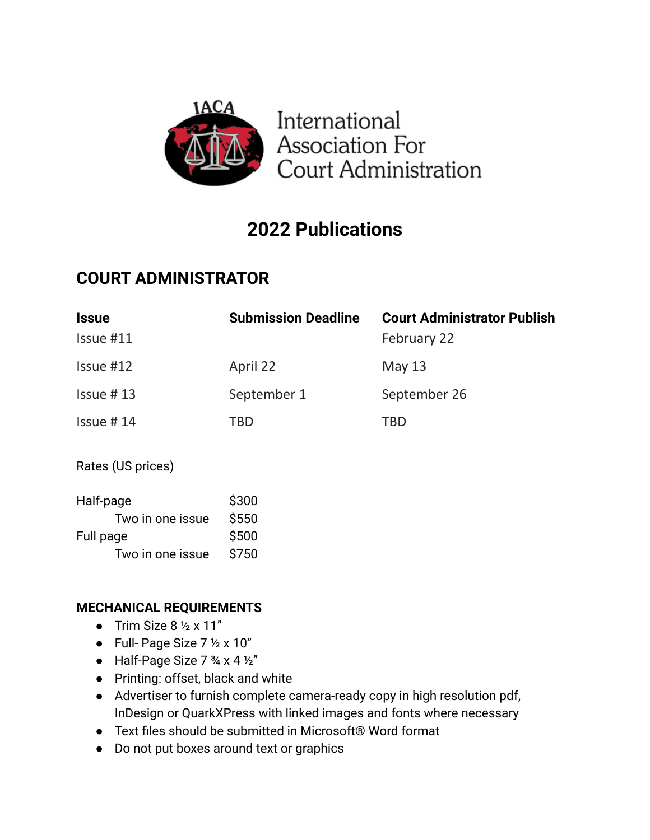

# **2022 Publications**

## **COURT ADMINISTRATOR**

| <b>Issue</b><br>Issue #11 | <b>Submission Deadline</b> | <b>Court Administrator Publish</b><br>February 22 |
|---------------------------|----------------------------|---------------------------------------------------|
| $Is sue$ #12              | April 22                   | <b>May 13</b>                                     |
| $Isue$ #13                | September 1                | September 26                                      |
| $Isue$ #14                | <b>TBD</b>                 | <b>TBD</b>                                        |
| Rates (US prices)         |                            |                                                   |
| Half-page                 | \$300                      |                                                   |
| Two in one issue          | \$550                      |                                                   |
| Full page                 | \$500                      |                                                   |
| Two in one issue          | \$750                      |                                                   |

## **MECHANICAL REQUIREMENTS**

- Trim Size  $8 \frac{1}{2} \times 11$ "
- Full- Page Size  $7 \frac{1}{2} \times 10$ "
- $\bullet$  Half-Page Size 7  $\frac{3}{4} \times 4 \frac{1}{2}$ "
- Printing: offset, black and white
- Advertiser to furnish complete camera-ready copy in high resolution pdf, InDesign or QuarkXPress with linked images and fonts where necessary
- Text files should be submitted in Microsoft® Word format
- Do not put boxes around text or graphics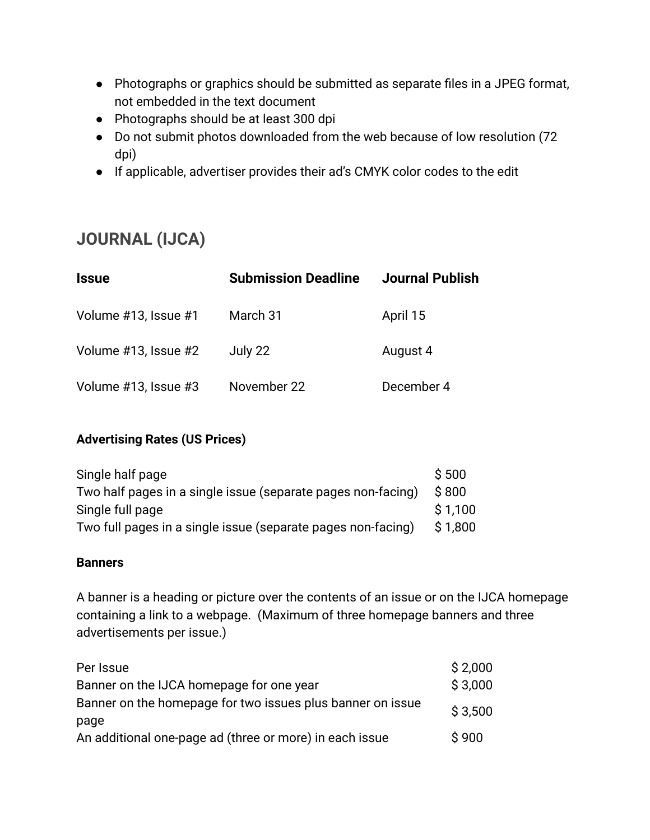- Photographs or graphics should be submitted as separate files in a JPEG format, not embedded in the text document
- Photographs should be at least 300 dpi
- Do not submit photos downloaded from the web because of low resolution (72 dpi)
- If applicable, advertiser provides their ad's CMYK color codes to the edit

## **JOURNAL (IJCA)**

| <b>Issue</b>         | <b>Submission Deadline</b> | <b>Journal Publish</b> |
|----------------------|----------------------------|------------------------|
| Volume #13, Issue #1 | March 31                   | April 15               |
| Volume #13, Issue #2 | July 22                    | August 4               |
| Volume #13, Issue #3 | November 22                | December 4             |

## **Advertising Rates (US Prices)**

| Single half page                                             | \$500   |
|--------------------------------------------------------------|---------|
| Two half pages in a single issue (separate pages non-facing) | \$800   |
| Single full page                                             | \$1.100 |
| Two full pages in a single issue (separate pages non-facing) | \$1.800 |

#### **Banners**

A banner is a heading or picture over the contents of an issue or on the IJCA homepage containing a link to a webpage. (Maximum of three homepage banners and three advertisements per issue.)

| Per Issue                                                  | \$2,000 |
|------------------------------------------------------------|---------|
| Banner on the IJCA homepage for one year                   |         |
| Banner on the homepage for two issues plus banner on issue |         |
| page                                                       |         |
| An additional one-page ad (three or more) in each issue    | \$900   |